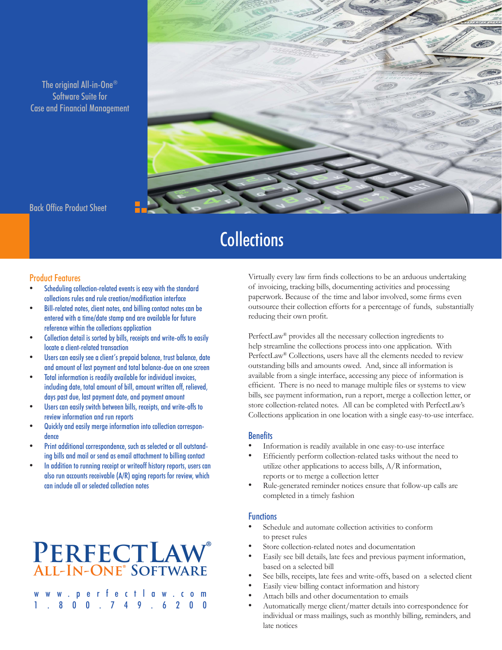The original All-in-One® Software Suite for Case and Financial Management



Back Office Product Sheet

# **Collections**

#### Product Features

- Scheduling collection-related events is easy with the standard collections rules and rule creation/modification interface
- Bill-related notes, client notes, and billing contact notes can be entered with a time/date stamp and are available for future reference within the collections application
- Collection detail is sorted by bills, receipts and write-offs to easily locate a client-related transaction
- Users can easily see a client's prepaid balance, trust balance, date and amount of last payment and total balance-due on one screen
- Total information is readily available for individual invoices, including date, total amount of bill, amount written off, relieved, days past due, last payment date, and payment amount
- Users can easily switch between bills, receipts, and write-offs to review information and run reports
- Quickly and easily merge information into collection correspondence
- Print additional correspondence, such as selected or all outstanding bills and mail or send as email attachment to billing contact
- In addition to running receipt or writeoff history reports, users can also run accounts receivable (A/R) aging reports for review, which can include all or selected collection notes

## **PerfectLaw® All-In-One® Software**

www.perfectlaw.com 1.800.749.6200

Virtually every law firm finds collections to be an arduous undertaking of invoicing, tracking bills, documenting activities and processing paperwork. Because of the time and labor involved, some firms even outsource their collection efforts for a percentage of funds, substantially reducing their own profit.

PerfectLaw® provides all the necessary collection ingredients to help streamline the collections process into one application. With PerfectLaw® Collections, users have all the elements needed to review outstanding bills and amounts owed. And, since all information is available from a single interface, accessing any piece of information is efficient. There is no need to manage multiple files or systems to view bills, see payment information, run a report, merge a collection letter, or store collection-related notes. All can be completed with PerfectLaw's Collections application in one location with a single easy-to-use interface.

## **Benefits**

- Information is readily available in one easy-to-use interface
- Efficiently perform collection-related tasks without the need to utilize other applications to access bills, A/R information, reports or to merge a collection letter
- Rule-generated reminder notices ensure that follow-up calls are completed in a timely fashion

## **Functions**

- Schedule and automate collection activities to conform to preset rules
- Store collection-related notes and documentation
- Easily see bill details, late fees and previous payment information, based on a selected bill
- See bills, receipts, late fees and write-offs, based on a selected client
- Easily view billing contact information and history
- Attach bills and other documentation to emails
- Automatically merge client/matter details into correspondence for individual or mass mailings, such as monthly billing, reminders, and late notices